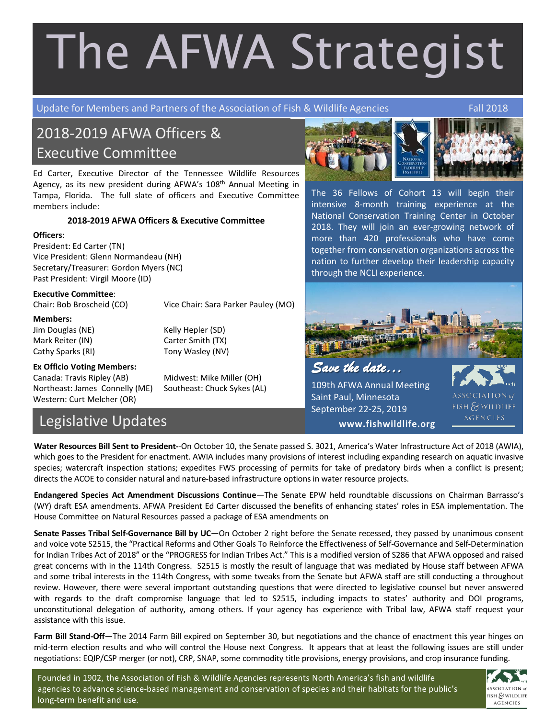# The AFWA Strategist

Update for Members and Partners of the Association of Fish & Wildlife Agencies Fall 2018

# 2018-2019 AFWA Officers & Executive Committee

Tampa, Florida. The full slate of officers and Executive Committee The 36 Fellows of Cohort 13 will begin the Ed Carter, Executive Director of the Tennessee Wildlife Resources Agency, as its new president during AFWA's 108<sup>th</sup> Annual Meeting in members include:

# 2018-2019 AFWA Officers & Executive Committee

#### **Officers**:

President: Ed Carter (TN) Vice President: Glenn Normandeau (NH) Secretary/Treasurer: Gordon Myers (NC) Past President: Virgil Moore (ID)

### **Executive Committee**:

Chair: Bob Broscheid (CO) Vice Chair: Sara Parker Pauley (MO)

**Members:** Jim Douglas (NE) Kelly Hepler (SD) Mark Reiter (IN) Carter Smith (TX) Cathy Sparks (RI) Tony Wasley (NV)

## **Ex Officio Voting Members:**

Canada: Travis Ripley (AB) Midwest: Mike Miller (OH) Northeast: James Connelly (ME) Southeast: Chuck Sykes (AL) Western: Curt Melcher (OR)

# Legislative Updates

**Water Resources Bill Sent to President-**-On October 10, the Senate passed S. 3021, America's Water Infrastructure Act of 2018 (AWIA), which goes to the President for enactment. AWIA includes many provisions of interest including expanding research on aquatic invasive species; watercraft inspection stations; expedites FWS processing of permits for take of predatory birds when a conflict is present; directs the ACOE to consider natural and nature-based infrastructure options in water resource projects.

**Endangered Species Act Amendment Discussions Continue**—The Senate EPW held roundtable discussions on Chairman Barrasso's (WY) draft ESA amendments. AFWA President Ed Carter discussed the benefits of enhancing states' roles in ESA implementation. The House Committee on Natural Resources passed a package of ESA amendments on

**Senate Passes Tribal Self-Governance Bill by UC**—On October 2 right before the Senate recessed, they passed by unanimous consent and voice vote S2515, the "Practical Reforms and Other Goals To Reinforce the Effectiveness of Self-Governance and Self-Determination for Indian Tribes Act of 2018" or the "PROGRESS for Indian Tribes Act." This is a modified version of S286 that AFWA opposed and raised great concerns with in the 114th Congress. S2515 is mostly the result of language that was mediated by House staff between AFWA and some tribal interests in the 114th Congress, with some tweaks from the Senate but AFWA staff are still conducting a throughout review. However, there were several important outstanding questions that were directed to legislative counsel but never answered with regards to the draft compromise language that led to S2515, including impacts to states' authority and DOI programs, unconstitutional delegation of authority, among others. If your agency has experience with Tribal law, AFWA staff request your assistance with this issue.

**Farm Bill Stand-Off**—The 2014 Farm Bill expired on September 30, but negotiations and the chance of enactment this year hinges on mid-term election results and who will control the House next Congress. It appears that at least the following issues are still under negotiations: EQIP/CSP merger (or not), CRP, SNAP, some commodity title provisions, energy provisions, and crop insurance funding.





The 36 Fellows of Cohort 13 will begin their intensive 8-month training experience at the National Conservation Training Center in October 2018. They will join an ever-growing network of more than 420 professionals who have come together from conservation organizations across the nation to further develop their leadership capacity through the NCLI experience.



109th AFWA Annual Meeting Saint Paul, Minnesota September 22-25, 2019



Founded in 1902, the Association of Fish & Wildlife Agencies represents North America's fish and wildlife agencies to advance science-based management and conservation of species and their habitats for the public's long-term benefit and use.